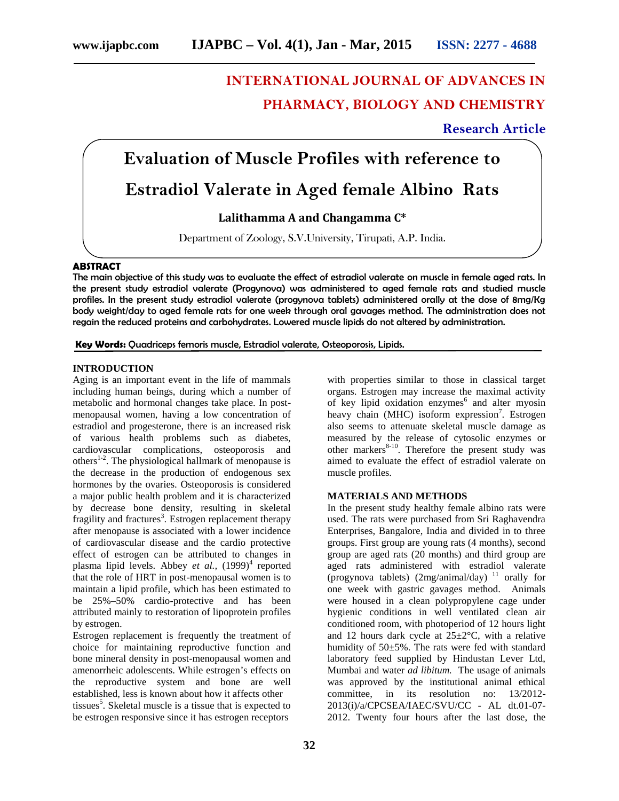# **INTERNATIONAL JOURNAL OF ADVANCES IN PHARMACY, BIOLOGY AND CHEMISTRY**

### **Research Article**

# **Evaluation of Muscle Profiles with reference to**

## **Estradiol Valerate in Aged female Albino Rats**

### **Lalithamma A and Changamma C\***

Department of Zoology, S.V.University, Tirupati, A.P. India.

#### **ABSTRACT**

The main objective of this study was to evaluate the effect of estradiol valerate on muscle in female aged rats. In the present study estradiol valerate (Progynova) was administered to aged female rats and studied muscle profiles. In the present study estradiol valerate (progynova tablets) administered orally at the dose of 8mg/Kg body weight/day to aged female rats for one week through oral gavages method. The administration does not regain the reduced proteins and carbohydrates. Lowered muscle lipids do not altered by administration.

**Key Words:** Quadriceps femoris muscle, Estradiol valerate, Osteoporosis, Lipids.

#### **INTRODUCTION**

Aging is an important event in the life of mammals including human beings, during which a number of metabolic and hormonal changes take place. In post menopausal women, having a low concentration of estradiol and progesterone, there is an increased risk of various health problems such as diabetes, cardiovascular complications, osteoporosis and others<sup>1-2</sup>. The physiological hallmark of menopause is the decrease in the production of endogenous sex hormones by the ovaries. Osteoporosis is considered a major public health problem and it is characterized by decrease bone density, resulting in skeletal fragility and fractures<sup>3</sup>. Estrogen replacement therapy after menopause is associated with a lower incidence of cardiovascular disease and the cardio protective effect of estrogen can be attributed to changes in plasma lipid levels. Abbey *et al.*,  $(1999)^4$  reported that the role of HRT in post-menopausal women is to maintain a lipid profile, which has been estimated to be 25%–50% cardio-protective and has been attributed mainly to restoration of lipoprotein profiles by estrogen.

Estrogen replacement is frequently the treatment of choice for maintaining reproductive function and bone mineral density in post-menopausal women and amenorrheic adolescents. While estrogen's effects on the reproductive system and bone are well established, less is known about how it affects other tissues<sup>5</sup>. Skeletal muscle is a tissue that is expected to be estrogen responsive since it has estrogen receptors

with properties similar to those in classical target organs. Estrogen may increase the maximal activity of key lipid oxidation enzymes $6$  and alter myosin heavy chain (MHC) isoform expression<sup>7</sup>. Estrogen also seems to attenuate skeletal muscle damage as measured by the release of cytosolic enzymes or other markers<sup>8-10</sup>. Therefore the present study was aimed to evaluate the effect of estradiol valerate on muscle profiles.

#### **MATERIALS AND METHODS**

In the present study healthy female albino rats were used. The rats were purchased from Sri Raghavendra Enterprises, Bangalore, India and divided in to three groups. First group are young rats (4 months), second group are aged rats (20 months) and third group are aged rats administered with estradiol valerate (progynova tablets)  $(2mg/animal/day)^{-11}$  orally for one week with gastric gavages method. Animals were housed in a clean polypropylene cage under hygienic conditions in well ventilated clean air conditioned room, with photoperiod of 12 hours light and 12 hours dark cycle at  $25 \pm 2$ °C, with a relative humidity of 50±5%. The rats were fed with standard laboratory feed supplied by Hindustan Lever Ltd, Mumbai and water *ad libitum.* The usage of animals was approved by the institutional animal ethical committee, in its resolution no: 13/2012- 2013(i)/a/CPCSEA/IAEC/SVU/CC - AL dt.01-07- 2012. Twenty four hours after the last dose, the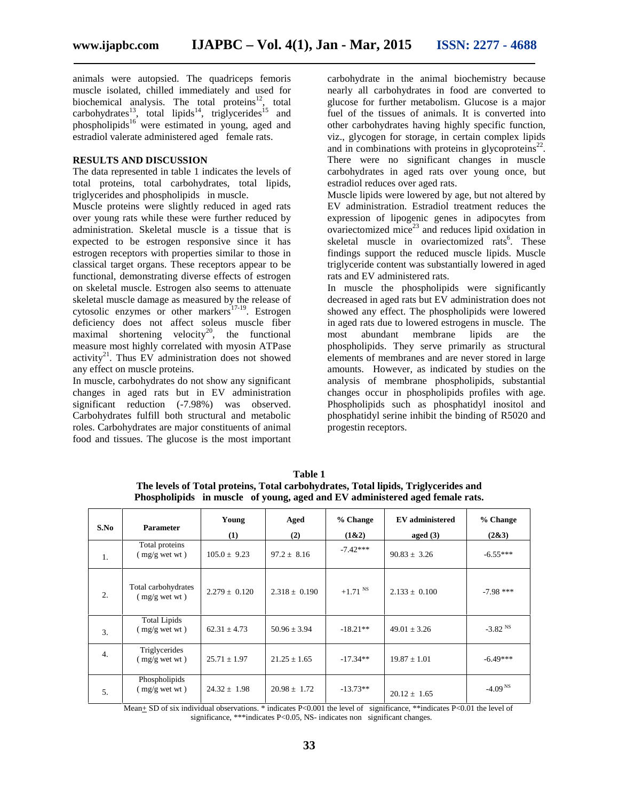animals were autopsied. The quadriceps femoris muscle isolated, chilled immediately and used for biochemical analysis. The total proteins $12$ , total  $carbo$ hydrates<sup>13</sup>, total lipids<sup>14</sup>, triglycerides<sup>15</sup> and phospholipids<sup>16</sup> were estimated in young, aged and estradiol valerate administered aged female rats.

#### **RESULTS AND DISCUSSION**

The data represented in table 1 indicates the levels of total proteins, total carbohydrates, total lipids, triglycerides and phospholipids in muscle.

Muscle proteins were slightly reduced in aged rats over young rats while these were further reduced by administration. Skeletal muscle is a tissue that is expected to be estrogen responsive since it has estrogen receptors with properties similar to those in classical target organs. These receptors appear to be functional, demonstrating diverse effects of estrogen on skeletal muscle. Estrogen also seems to attenuate skeletal muscle damage as measured by the release of cytosolic enzymes or other markers<sup>17-19</sup>. Estrogen deficiency does not affect soleus muscle fiber maximal shortening velocity<sup>20</sup>, the functional measure most highly correlated with myosin ATPase activity<sup>21</sup>. Thus EV administration does not showed any effect on muscle proteins.

In muscle, carbohydrates do not show any significant changes in aged rats but in EV administration significant reduction (-7.98%) was observed. Carbohydrates fulfill both structural and metabolic roles. Carbohydrates are major constituents of animal food and tissues. The glucose is the most important

carbohydrate in the animal biochemistry because nearly all carbohydrates in food are converted to glucose for further metabolism. Glucose is a major fuel of the tissues of animals. It is converted into other carbohydrates having highly specific function, viz., glycogen for storage, in certain complex lipids and in combinations with proteins in glycoproteins $^{22}$ . There were no significant changes in muscle carbohydrates in aged rats over young once, but estradiol reduces over aged rats.

Muscle lipids were lowered by age, but not altered by EV administration. Estradiol treatment reduces the expression of lipogenic genes in adipocytes from ovariectomized mice $^{23}$  and reduces lipid oxidation in skeletal muscle in ovariectomized rats<sup>6</sup>. These findings support the reduced muscle lipids. Muscle triglyceride content was substantially lowered in aged rats and EV administered rats.

In muscle the phospholipids were significantly decreased in aged rats but EV administration does not showed any effect. The phospholipids were lowered in aged rats due to lowered estrogens in muscle. The most abundant membrane lipids are the phospholipids. They serve primarily as structural elements of membranes and are never stored in large amounts. However, as indicated by studies on the analysis of membrane phospholipids, substantial changes occur in phospholipids profiles with age. Phospholipids such as phosphatidyl inositol and phosphatidyl serine inhibit the binding of R5020 and progestin receptors.

| Phospholipids in muscle of young, aged and EV administered aged female rats. |                                        |                   |                   |                   |                                      |                       |
|------------------------------------------------------------------------------|----------------------------------------|-------------------|-------------------|-------------------|--------------------------------------|-----------------------|
| S.No                                                                         | <b>Parameter</b>                       | Young<br>(1)      | Aged<br>(2)       | % Change<br>(1&2) | <b>EV</b> administered<br>aged $(3)$ | % Change<br>(2&3)     |
| 1.                                                                           | Total proteins<br>$(mg/g$ wet wt)      | $105.0 \pm 9.23$  | $97.2 \pm 8.16$   | $-7.42***$        | $90.83 \pm 3.26$                     | $-6.55***$            |
| 2.                                                                           | Total carbohydrates<br>$(mg/g$ wet wt) | $2.279 \pm 0.120$ | $2.318 \pm 0.190$ | $+1.71$ NS        | $2.133 \pm 0.100$                    | $-7.98$ ***           |
| 3.                                                                           | <b>Total Lipids</b><br>$(mg/g$ wet wt) | $62.31 \pm 4.73$  | $50.96 \pm 3.94$  | $-18.21**$        | $49.01 \pm 3.26$                     | $-3.82$ <sup>NS</sup> |
| 4.                                                                           | Triglycerides<br>$(mg/g$ wet wt)       | $25.71 \pm 1.97$  | $21.25 \pm 1.65$  | $-17.34**$        | $19.87 \pm 1.01$                     | $-6.49***$            |
| 5.                                                                           | Phospholipids<br>$(mg/g$ wet wt)       | $24.32 \pm 1.98$  | $20.98 \pm 1.72$  | $-13.73**$        | $20.12 \pm 1.65$                     | $-4.09NS$             |

**Table 1 The levels of Total proteins, Total carbohydrates, Total lipids, Triglycerides and**

Mean+ SD of six individual observations. \* indicates P<0.001 the level of significance, \*\*indicates P<0.01 the level of significance, \*\*\*indicates P<0.05, NS- indicates non significant changes.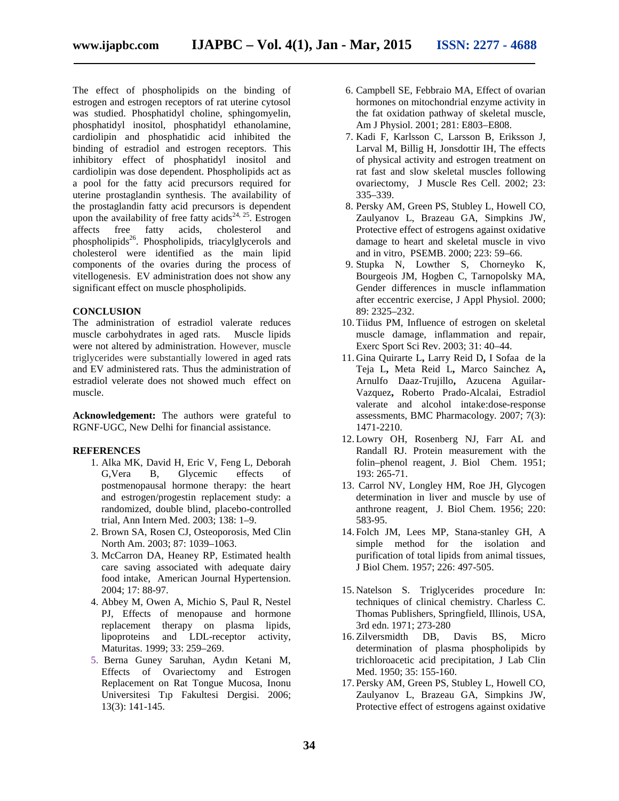The effect of phospholipids on the binding of estrogen and estrogen receptors of rat uterine cytosol was studied. Phosphatidyl choline, sphingomyelin, phosphatidyl inositol, phosphatidyl ethanolamine, cardiolipin and phosphatidic acid inhibited the binding of estradiol and estrogen receptors. This inhibitory effect of phosphatidyl inositol and cardiolipin was dose dependent. Phospholipids act as a pool for the fatty acid precursors required for uterine prostaglandin synthesis. The availability of the prostaglandin fatty acid precursors is dependent upon the availability of free fatty acids<sup>24, 25</sup>. Estrogen affects free fatty acids, cholesterol and phospholipids<sup>26</sup>. Phospholipids, triacylglycerols and cholesterol were identified as the main lipid components of the ovaries during the process of vitellogenesis. EV administration does not show any significant effect on muscle phospholipids.

#### **CONCLUSION**

The administration of estradiol valerate reduces muscle carbohydrates in aged rats. Muscle lipids were not altered by administration. However, muscle triglycerides were substantially lowered in aged rats and EV administered rats. Thus the administration of estradiol velerate does not showed much effect on muscle.

**Acknowledgement:** The authors were grateful to RGNF-UGC, New Delhi for financial assistance.

#### **REFERENCES**

- 1. Alka MK, David H, Eric V, Feng L, Deborah G,Vera B, Glycemic effects of postmenopausal hormone therapy: the heart and estrogen/progestin replacement study: a randomized, double blind, placebo-controlled trial, Ann Intern Med. 2003; 138: 1–9.
- 2. Brown SA, Rosen CJ, Osteoporosis, Med Clin North Am. 2003; 87: 1039–1063.
- 3. McCarron DA, Heaney RP, Estimated health care saving associated with adequate dairy food intake, American Journal Hypertension. 2004; 17: 88-97.
- 4. Abbey M, Owen A, Michio S, Paul R, Nestel PJ, Effects of menopause and hormone replacement therapy on plasma lipids, lipoproteins and LDL-receptor activity, Maturitas. 1999; 33: 259–269.
- 5. Berna Guney Saruhan, Aydın Ketani M, Effects of Ovariectomy and Estrogen Replacement on Rat Tongue Mucosa, Inonu Universitesi Tıp Fakultesi Dergisi. 2006; 13(3): 141-145.
- 6. Campbell SE, Febbraio MA, Effect of ovarian hormones on mitochondrial enzyme activity in the fat oxidation pathway of skeletal muscle, Am J Physiol. 2001; 281: E803–E808.
- 7. Kadi F, Karlsson C, Larsson B, Eriksson J, Larval M, Billig H, Jonsdottir IH, The effects of physical activity and estrogen treatment on rat fast and slow skeletal muscles following ovariectomy, J Muscle Res Cell. 2002; 23: 335–339.
- 8. Persky AM, Green PS, Stubley L, Howell CO, Zaulyanov L, Brazeau GA, Simpkins JW, Protective effect of estrogens against oxidative damage to heart and skeletal muscle in vivo and in vitro, PSEMB. 2000; 223: 59–66.
- 9. Stupka N, Lowther S, Chorneyko K, Bourgeois JM, Hogben C, Tarnopolsky MA, Gender differences in muscle inflammation after eccentric exercise, J Appl Physiol. 2000; 89: 2325–232.
- 10. Tiidus PM, Influence of estrogen on skeletal muscle damage, inflammation and repair, Exerc Sport Sci Rev. 2003; 31: 40–44.
- 11. Gina Quirarte L**,** Larry Reid D**,** I Sofaa de la Teja L**,** Meta Reid L**,** Marco Sainchez A**,** Arnulfo Daaz-Trujillo**,** Azucena Aguilar- Vazquez**,** Roberto Prado-Alcalai, Estradiol valerate and alcohol intake:dose-response assessments, BMC Pharmacology*.* 2007; 7(3): 1471-2210.
- 12. Lowry OH, Rosenberg NJ, Farr AL and Randall RJ. Protein measurement with the folin–phenol reagent, J. Biol Chem. 1951; 193: 265-71.
- 13. Carrol NV, Longley HM, Roe JH, Glycogen determination in liver and muscle by use of anthrone reagent, J. Biol Chem. 1956; 220: 583-95.
- 14. Folch JM, Lees MP, Stana-stanley GH, A simple method for the isolation and purification of total lipids from animal tissues, J Biol Chem. 1957; 226: 497-505.
- 15. Natelson S. Triglycerides procedure In: techniques of clinical chemistry. Charless C. Thomas Publishers, Springfield, Illinois, USA, 3rd edn. 1971; 273-280
- 16. Zilversmidth DB, Davis BS, Micro determination of plasma phospholipids by trichloroacetic acid precipitation, J Lab Clin Med. 1950; 35: 155-160.
- 17. Persky AM, Green PS, Stubley L, Howell CO, Zaulyanov L, Brazeau GA, Simpkins JW, Protective effect of estrogens against oxidative